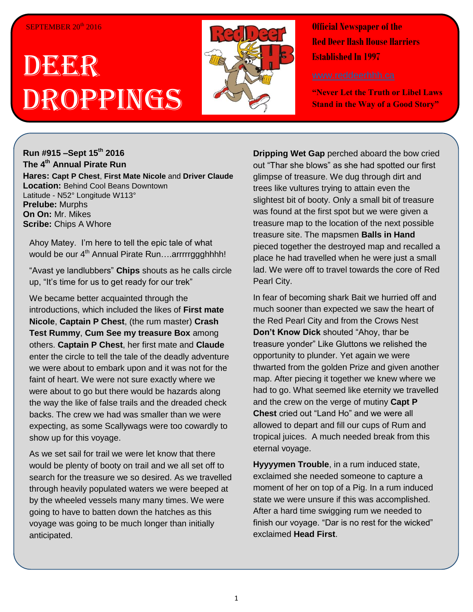#### SEPTEMBER 20<sup>th</sup> 2016

# DEERR Droppings



**Official Newspaper of the Red Deer Hash House Harriers Established In 1997** 

**"Never Let the Truth or Libel Laws Stand in the Way of a Good Story"**

# **Run #915 –Sept 15th 2016 The 4th Annual Pirate Run**

**Hares: Capt P Chest**, **First Mate Nicole** and **Driver Claude Location:** Behind Cool Beans Downtown Latitude - N52° Longitude W113° **Prelube:** Murphs **On On:** Mr. Mikes **Scribe: Chips A Whore** 

Ahoy Matey. I'm here to tell the epic tale of what would be our 4<sup>th</sup> Annual Pirate Run....arrrrrggghhhh!

"Avast ye landlubbers" **Chips** shouts as he calls circle up, "It's time for us to get ready for our trek"

We became better acquainted through the introductions, which included the likes of **First mate Nicole**, **Captain P Chest**, (the rum master) **Crash Test Rummy**, **Cum See my treasure Box** among others. **Captain P Chest**, her first mate and **Claude** enter the circle to tell the tale of the deadly adventure we were about to embark upon and it was not for the faint of heart. We were not sure exactly where we were about to go but there would be hazards along the way the like of false trails and the dreaded check backs. The crew we had was smaller than we were expecting, as some Scallywags were too cowardly to show up for this voyage.

As we set sail for trail we were let know that there would be plenty of booty on trail and we all set off to search for the treasure we so desired. As we travelled through heavily populated waters we were beeped at by the wheeled vessels many many times. We were going to have to batten down the hatches as this voyage was going to be much longer than initially anticipated.

**Dripping Wet Gap** perched aboard the bow cried out "Thar she blows" as she had spotted our first glimpse of treasure. We dug through dirt and trees like vultures trying to attain even the slightest bit of booty. Only a small bit of treasure was found at the first spot but we were given a treasure map to the location of the next possible treasure site. The mapsmen **Balls in Hand** pieced together the destroyed map and recalled a place he had travelled when he were just a small lad. We were off to travel towards the core of Red Pearl City.

In fear of becoming shark Bait we hurried off and much sooner than expected we saw the heart of the Red Pearl City and from the Crows Nest **Don't Know Dick** shouted "Ahoy, thar be treasure yonder" Like Gluttons we relished the opportunity to plunder. Yet again we were thwarted from the golden Prize and given another map. After piecing it together we knew where we had to go. What seemed like eternity we travelled and the crew on the verge of mutiny **Capt P Chest** cried out "Land Ho" and we were all allowed to depart and fill our cups of Rum and tropical juices. A much needed break from this eternal voyage.

**Hyyyymen Trouble**, in a rum induced state, exclaimed she needed someone to capture a moment of her on top of a Pig. In a rum induced state we were unsure if this was accomplished. After a hard time swigging rum we needed to finish our voyage. "Dar is no rest for the wicked" exclaimed **Head First**.